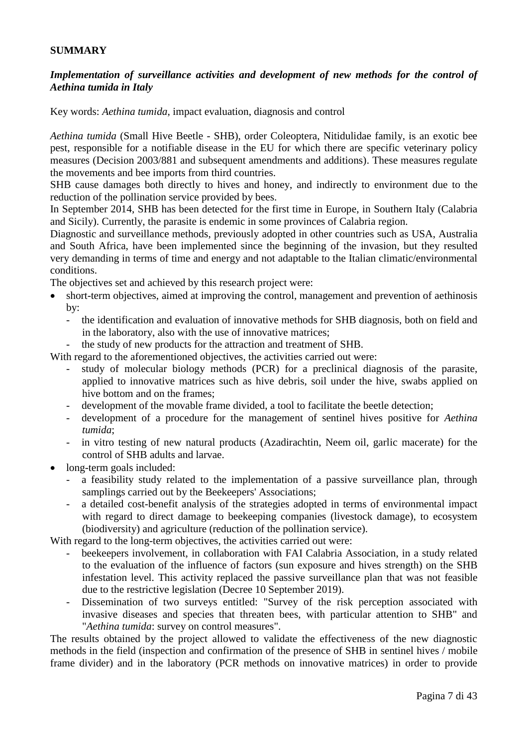## **SUMMARY**

## *Implementation of surveillance activities and development of new methods for the control of Aethina tumida in Italy*

Key words: *Aethina tumida*, impact evaluation, diagnosis and control

*Aethina tumida* (Small Hive Beetle - SHB), order Coleoptera, Nitidulidae family, is an exotic bee pest, responsible for a notifiable disease in the EU for which there are specific veterinary policy measures (Decision 2003/881 and subsequent amendments and additions). These measures regulate the movements and bee imports from third countries.

SHB cause damages both directly to hives and honey, and indirectly to environment due to the reduction of the pollination service provided by bees.

In September 2014, SHB has been detected for the first time in Europe, in Southern Italy (Calabria and Sicily). Currently, the parasite is endemic in some provinces of Calabria region.

Diagnostic and surveillance methods, previously adopted in other countries such as USA, Australia and South Africa, have been implemented since the beginning of the invasion, but they resulted very demanding in terms of time and energy and not adaptable to the Italian climatic/environmental conditions.

The objectives set and achieved by this research project were:

- short-term objectives, aimed at improving the control, management and prevention of aethinosis by:
	- the identification and evaluation of innovative methods for SHB diagnosis, both on field and in the laboratory, also with the use of innovative matrices;
	- the study of new products for the attraction and treatment of SHB.

With regard to the aforementioned objectives, the activities carried out were:

- study of molecular biology methods (PCR) for a preclinical diagnosis of the parasite, applied to innovative matrices such as hive debris, soil under the hive, swabs applied on hive bottom and on the frames;
- development of the movable frame divided, a tool to facilitate the beetle detection;
- development of a procedure for the management of sentinel hives positive for *Aethina tumida*;
- in vitro testing of new natural products (Azadirachtin, Neem oil, garlic macerate) for the control of SHB adults and larvae.
- long-term goals included:
	- a feasibility study related to the implementation of a passive surveillance plan, through samplings carried out by the Beekeepers' Associations;
	- a detailed cost-benefit analysis of the strategies adopted in terms of environmental impact with regard to direct damage to beekeeping companies (livestock damage), to ecosystem (biodiversity) and agriculture (reduction of the pollination service).

With regard to the long-term objectives, the activities carried out were:

- beekeepers involvement, in collaboration with FAI Calabria Association, in a study related to the evaluation of the influence of factors (sun exposure and hives strength) on the SHB infestation level. This activity replaced the passive surveillance plan that was not feasible due to the restrictive legislation (Decree 10 September 2019).
- Dissemination of two surveys entitled: "Survey of the risk perception associated with invasive diseases and species that threaten bees, with particular attention to SHB" and "*Aethina tumida*: survey on control measures".

The results obtained by the project allowed to validate the effectiveness of the new diagnostic methods in the field (inspection and confirmation of the presence of SHB in sentinel hives / mobile frame divider) and in the laboratory (PCR methods on innovative matrices) in order to provide